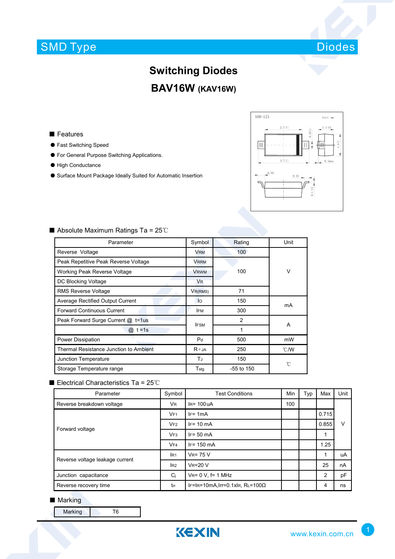# SMD Type



# **Switching Diodes BAV16W (KAV16W)**

#### ■ Features

- Fast Switching Speed
- For General Purpose Switching Applications.
- High Conductance
- Surface Mount Package Ideally Suited for Automatic Insertion



| Parameter                               | Symbol         | Rating       | Unit           |  |  |
|-----------------------------------------|----------------|--------------|----------------|--|--|
| Reverse Voltage                         | <b>VRM</b>     | 100          |                |  |  |
| Peak Repetitive Peak Reverse Voltage    | <b>VRRM</b>    |              |                |  |  |
| Working Peak Reverse Voltage            | <b>VRWM</b>    | 100          | V              |  |  |
| DC Blocking Voltage                     | <b>VR</b>      |              |                |  |  |
| <b>RMS Reverse Voltage</b>              | $V_{R(RMS)}$   | 71           |                |  |  |
| <b>Average Rectified Output Current</b> | lo             | 150          |                |  |  |
| <b>Forward Continuous Current</b>       | <b>IFM</b>     | 300          | mA             |  |  |
| Peak Forward Surge Current @ t=1us      | <b>IFSM</b>    | 2            |                |  |  |
| $t = 1s$<br>$^{\circledR}$              |                | 1            | A              |  |  |
| Power Dissipation                       | P <sub>d</sub> | 500          | mW             |  |  |
| Thermal Resistance Junction to Ambient  | $R \theta$ JA  | 250          | $^{\circ}$ C/W |  |  |
| Junction Temperature                    | TJ             | 150          |                |  |  |
| Storage Temperature range               | $T_{\rm stg}$  | $-55$ to 150 | °C             |  |  |

## ■ Absolute Maximum Ratings Ta = 25℃

## ■ Electrical Characteristics Ta = 25℃

| Parameter                       | Symbol          | <b>Test Conditions</b>                  | <b>Min</b> | Typ | Max   | Unit |
|---------------------------------|-----------------|-----------------------------------------|------------|-----|-------|------|
| Reverse breakdown voltage       | <b>VR</b>       | $IR = 100UA$                            |            |     |       |      |
| Forward voltage                 | VF1             | $IF = 1mA$                              |            |     | 0.715 | V    |
|                                 | VF2             | $IF = 10 \text{ mA}$                    |            |     | 0.855 |      |
|                                 | VF3             | $IF = 50 mA$                            |            |     |       |      |
|                                 | VFA             | $IF = 150$ mA                           |            |     | 1.25  |      |
| Reverse voltage leakage current | IR <sub>1</sub> | $V_R = 75 V$                            |            |     | 1     | uA   |
|                                 | IR2             | $V_R = 20 V$                            |            |     | 25    | nA   |
| Junction capacitance            | Cj              | $V_{R} = 0 V$ , f= 1 MHz                |            |     | 2     | pF   |
| Reverse recovery time           | trr             | IF=IR=10mA, Irr=0.1xIR, RL=100 $\Omega$ |            |     | 4     | ns   |

#### ■ Marking

Marking T6